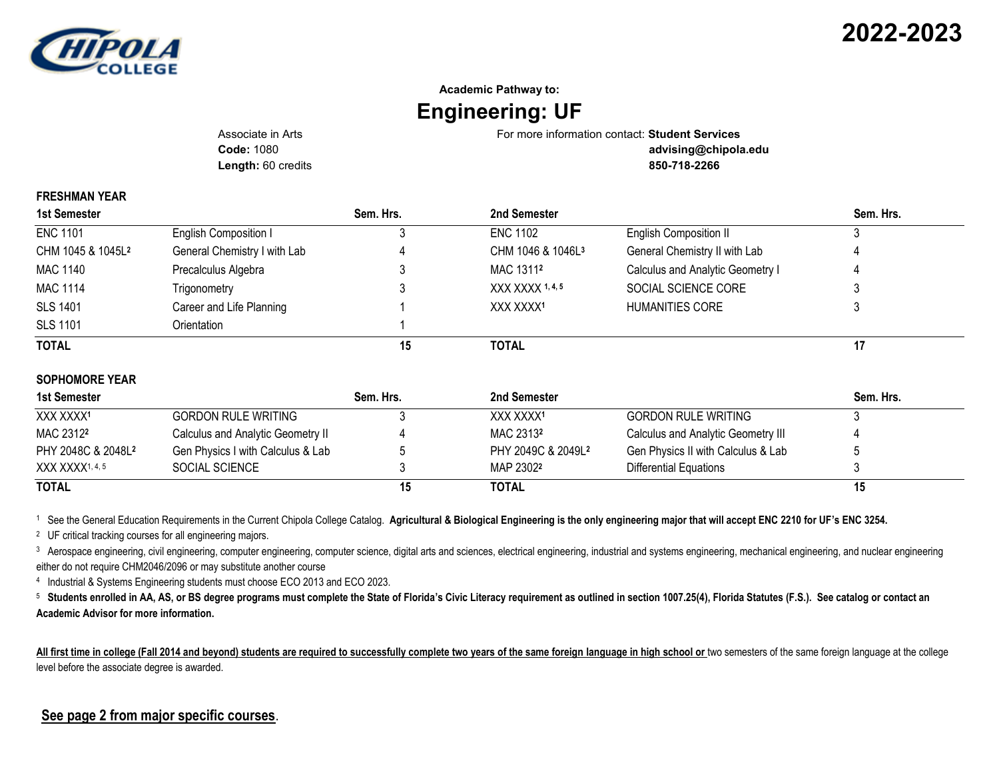

## **Academic Pathway to: Engineering: UF**

**Length:** 60 credits **850-718-2266**

Associate in Arts For more information contact: **Student Services Code:** 1080 **advising@chipola.edu**

| 1st Semester                  |                              | Sem. Hrs. | 2nd Semester                  |                                  | Sem. Hrs. |
|-------------------------------|------------------------------|-----------|-------------------------------|----------------------------------|-----------|
| <b>ENC 1101</b>               | English Composition I        |           | <b>ENC 1102</b>               | <b>English Composition II</b>    |           |
| CHM 1045 & 1045L <sup>2</sup> | General Chemistry I with Lab |           | CHM 1046 & 1046L <sup>3</sup> | General Chemistry II with Lab    |           |
| MAC 1140                      | Precalculus Algebra          |           | MAC 1311 <sup>2</sup>         | Calculus and Analytic Geometry I |           |
| MAC 1114                      | Trigonometry                 |           | XXX XXXX 1,4,5                | SOCIAL SCIENCE CORE              |           |
| <b>SLS 1401</b>               | Career and Life Planning     |           | XXX XXXX1                     | HUMANITIES CORE                  |           |
| <b>SLS 1101</b>               | Orientation                  |           |                               |                                  |           |
| <b>TOTAL</b>                  |                              | 15        | <b>TOTAL</b>                  |                                  | 17        |

## **SOPHOMORE YEAR**

**FRESHMAN YEAR**

| 1st Semester                   |                                   | Sem. Hrs. | 2nd Semester                   |                                    | Sem. Hrs. |
|--------------------------------|-----------------------------------|-----------|--------------------------------|------------------------------------|-----------|
| XXX XXXX1                      | <b>GORDON RULE WRITING</b>        |           | XXX XXXX1                      | GORDON RULE WRITING                |           |
| MAC 2312 <sup>2</sup>          | Calculus and Analytic Geometry II |           | MAC 2313 <sup>2</sup>          | Calculus and Analytic Geometry III |           |
| PHY 2048C & 2048L <sup>2</sup> | Gen Physics I with Calculus & Lab |           | PHY 2049C & 2049L <sup>2</sup> | Gen Physics II with Calculus & Lab |           |
| XXX XXXX1, 4, 5                | SOCIAL SCIENCE                    |           | MAP 23022                      | Differential Equations             |           |
| <b>TOTAL</b>                   |                                   | 15        | <b>TOTAL</b>                   |                                    | 15        |

<sup>1</sup> See the General Education Requirements in the Current Chipola College Catalog. Agricultural & Biological Engineering is the only engineering major that will accept ENC 2210 for UF's ENC 3254.

<sup>2</sup> UF critical tracking courses for all engineering majors.

<sup>3</sup> Aerospace engineering, civil engineering, computer engineering, computer science, digital arts and sciences, electrical engineering, industrial and systems engineering, mechanical engineering, and nuclear engineering either do not require CHM2046/2096 or may substitute another course

4 Industrial & Systems Engineering students must choose ECO 2013 and ECO 2023.

<sup>5</sup>**Students enrolled in AA, AS, or BS degree programs must complete the State of Florida's Civic Literacy requirement as outlined in section 1007.25(4), Florida Statutes (F.S.). See catalog or contact an Academic Advisor for more information.**

**All first time in college (Fall 2014 and beyond) students are required to successfully complete two years of the same foreign language in high school or** two semesters of the same foreign language at the college level before the associate degree is awarded.

## **See page 2 from major specific courses**.